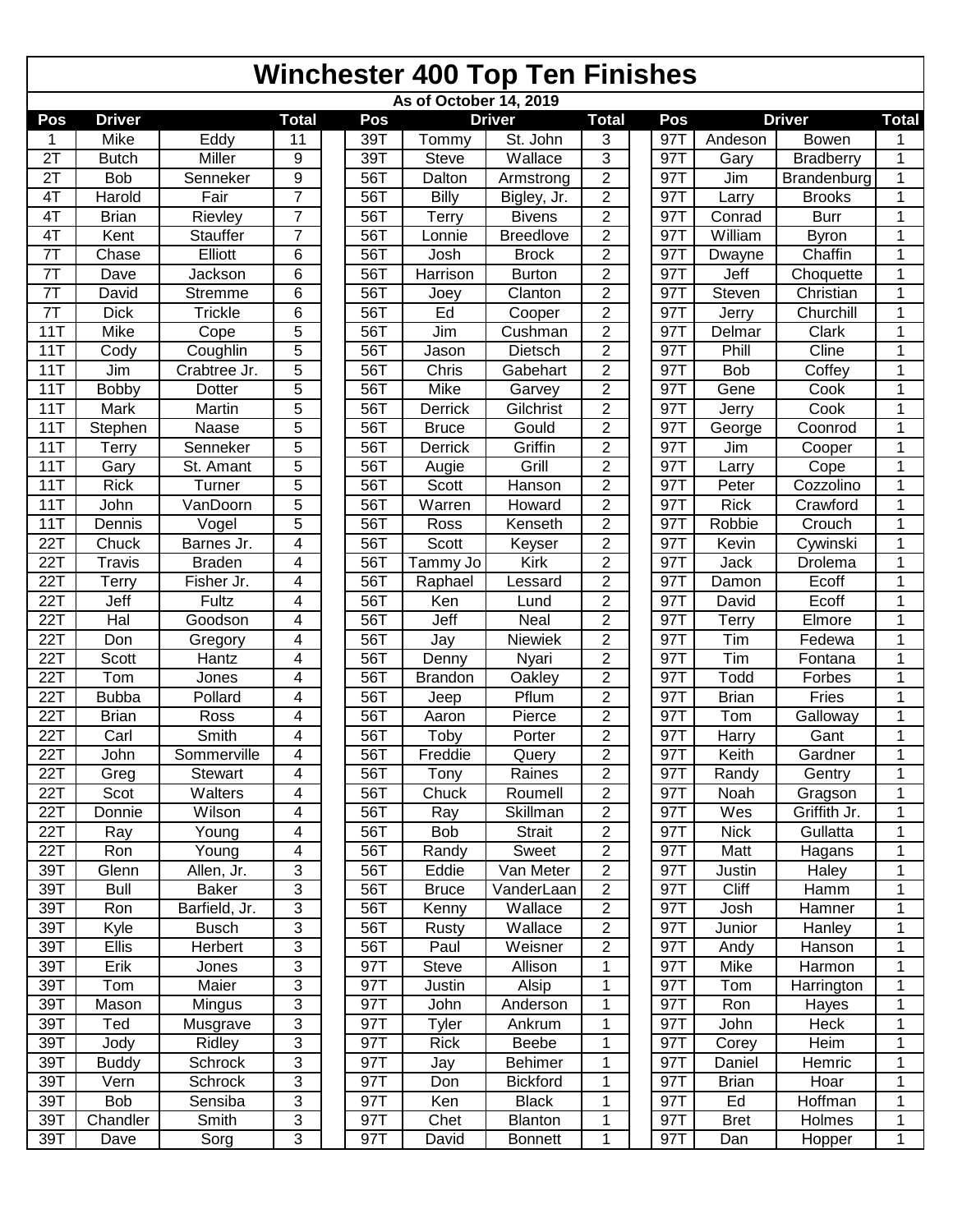## **Winchester 400 Top Ten Finishes**

| As of October 14, 2019 |               |                |                |  |     |                |                  |                         |  |     |              |                  |              |
|------------------------|---------------|----------------|----------------|--|-----|----------------|------------------|-------------------------|--|-----|--------------|------------------|--------------|
| Pos                    | <b>Driver</b> |                | <b>Total</b>   |  | Pos |                | <b>Driver</b>    | <b>Total</b>            |  | Pos |              | <b>Driver</b>    | <b>Total</b> |
| 1                      | <b>Mike</b>   | Eddy           | 11             |  | 39T | Tommy          | St. John         | 3                       |  | 97T | Andeson      | Bowen            | 1            |
| 2T                     | <b>Butch</b>  | Miller         | 9              |  | 39T | Steve          | Wallace          | 3                       |  | 97T | Gary         | <b>Bradberry</b> | 1            |
| 2T                     | <b>Bob</b>    | Senneker       | 9              |  | 56T | Dalton         | Armstrong        | $\overline{2}$          |  | 97T | Jim          | Brandenburg      | 1            |
| 4T                     | Harold        | Fair           | $\overline{7}$ |  | 56T | Billy          | Bigley, Jr.      | $\overline{c}$          |  | 97T | Larry        | <b>Brooks</b>    | 1            |
| 4T                     | <b>Brian</b>  | Rievley        | $\overline{7}$ |  | 56T | Terry          | <b>Bivens</b>    | $\overline{c}$          |  | 97T | Conrad       | <b>Burr</b>      | 1            |
| 4T                     | Kent          | Stauffer       | $\overline{7}$ |  | 56T | _onnie         | <b>Breedlove</b> | $\overline{2}$          |  | 97T | William      | <b>Byron</b>     | 1            |
| 7T                     | Chase         | Elliott        | 6              |  | 56T | Josh           | <b>Brock</b>     | $\overline{c}$          |  | 97T | Dwayne       | Chaffin          | 1            |
| 7T                     | Dave          | Jackson        | 6              |  | 56T | Harrison       | <b>Burton</b>    | $\overline{2}$          |  | 97T | Jeff         | Choquette        | 1            |
| 7T                     | David         | <b>Stremme</b> | 6              |  | 56T | Joey           | Clanton          | $\overline{\mathbf{c}}$ |  | 97T | Steven       | Christian        | 1            |
| 7T                     | <b>Dick</b>   | Trickle        | 6              |  | 56T | Ed             | Cooper           | $\overline{2}$          |  | 97T | Jerry        | Churchill        | 1            |
| 11T                    | Mike          | Cope           | 5              |  | 56T | Jim            | Cushman          | $\overline{c}$          |  | 97T | Delmar       | Clark            | 1            |
| 11T                    | Cody          | Coughlin       | 5              |  | 56T | Jason          | Dietsch          | $\overline{c}$          |  | 97T | Phill        | Cline            | 1            |
| 11T                    | Jim           | Crabtree Jr.   | 5              |  | 56T | Chris          | Gabehart         | $\overline{c}$          |  | 97T | Bob          | Coffey           | 1            |
| 11T                    | <b>Bobby</b>  | Dotter         | 5              |  | 56T | Mike           | Garvey           | $\overline{c}$          |  | 97T | Gene         | Cook             | 1            |
| 11T                    | Mark          | Martin         | 5              |  | 56T | Derrick        | Gilchrist        | $\overline{c}$          |  | 97T | Jerry        | Cook             | 1            |
| 11T                    | Stephen       | Naase          | 5              |  | 56T | <b>Bruce</b>   | Gould            | $\overline{2}$          |  | 97T | George       | Coonrod          | 1            |
| 11T                    | Terry         | Senneker       | 5              |  | 56T | Derrick        | Griffin          | $\overline{c}$          |  | 97T | Jim          | Cooper           | 1            |
| 11T                    | Gary          | St. Amant      | 5              |  | 56T | Augie          | Grill            | $\overline{2}$          |  | 97T | Larry        | Cope             | 1            |
| 11T                    | <b>Rick</b>   | Turner         | 5              |  | 56T | Scott          | Hanson           | $\overline{c}$          |  | 97T | Peter        | Cozzolino        | 1            |
| 11T                    | John          | VanDoorn       | 5              |  | 56T | Warren         | Howard           | $\overline{c}$          |  | 97T | <b>Rick</b>  | Crawford         | 1            |
| 11T                    | Dennis        | Vogel          | 5              |  | 56T | Ross           | Kenseth          | $\overline{\mathbf{c}}$ |  | 97T | Robbie       | Crouch           | 1            |
| 22T                    | Chuck         | Barnes Jr.     | 4              |  | 56T | Scott          | Keyser           | $\overline{2}$          |  | 97T | Kevin        | Cywinski         | 1            |
| 22T                    | <b>Travis</b> | <b>Braden</b>  | 4              |  | 56T | Tammy Jo       | <b>Kirk</b>      | $\overline{2}$          |  | 97T | Jack         | Drolema          | 1            |
| 22T                    | Terry         | Fisher Jr.     | 4              |  | 56T | Raphael        | Lessard          | $\overline{2}$          |  | 97T | Damon        | Ecoff            | 1            |
| 22T                    | Jeff          | Fultz          | 4              |  | 56T | Ken            | Lund             | 2                       |  | 97T | David        | Ecoff            | 1            |
| 22T                    | Hal           | Goodson        | 4              |  | 56T | Jeff           | Neal             | $\overline{2}$          |  | 97T | <b>Terry</b> | Elmore           | 1            |
| 22T                    | Don           | Gregory        | 4              |  | 56T | Jay            | Niewiek          | $\overline{2}$          |  | 97T | Tim          | Fedewa           | 1            |
| 22T                    | Scott         | Hantz          | 4              |  | 56T | Denny          | Nyari            | $\overline{2}$          |  | 97T | Tim          | Fontana          | 1            |
| 22T                    | Tom           | Jones          | 4              |  | 56T | <b>Brandon</b> | <b>Oakley</b>    | $\overline{2}$          |  | 97T | Todd         | Forbes           | 1            |
| 22T                    | <b>Bubba</b>  | Pollard        | 4              |  | 56T | Jeep           | Pflum            | $\overline{2}$          |  | 97T | <b>Brian</b> | Fries            | 1            |
| $\overline{22T}$       | <b>Brian</b>  | Ross           | 4              |  | 56T | Aaron          | Pierce           | $\overline{2}$          |  | 97T | Tom          | Galloway         | 1            |
| 22T                    | Carl          | Smith          | 4              |  | 56T | Toby           | Porter           | $\overline{c}$          |  | 97T | Harry        | Gant             | 1            |
| 22T                    | John          | Sommerville    | 4              |  | 56T | Freddie        | Query            | 2                       |  | 97T | Keith        | Gardner          | 1            |
| 22T                    | Greg          | Stewart        | $\overline{4}$ |  | 56T | Tony           | Raines           | $\overline{2}$          |  | 97T | Randy        | Gentry           | 1            |
| 22T                    | Scot          | Walters        | 4              |  | 56T | Chuck          | Roumell          | 2                       |  | 97T | Noah         | Gragson          | 1            |
| 22T                    | Donnie        | Wilson         | 4              |  | 56T | Ray            | Skillman         | $\overline{2}$          |  | 97T | Wes          | Griffith Jr.     | 1            |
| 22T                    | Ray           | Young          | 4              |  | 56T | Bob            | <b>Strait</b>    | $\overline{2}$          |  | 97T | <b>Nick</b>  | Gullatta         | 1            |
| 22T                    | Ron           | Young          | 4              |  | 56T | Randy          | Sweet            | $\overline{c}$          |  | 97T | Matt         | Hagans           | 1            |
| 39T                    | Glenn         | Allen, Jr.     | 3              |  | 56T | Eddie          | Van Meter        | $\overline{2}$          |  | 97T | Justin       | Haley            | 1            |
| 39T                    | <b>Bull</b>   | <b>Baker</b>   | 3              |  | 56T | <b>Bruce</b>   | VanderLaan       | $\overline{c}$          |  | 97T | Cliff        | Hamm             | 1            |
| 39T                    | Ron           | Barfield, Jr.  | $\overline{3}$ |  | 56T | Kenny          | Wallace          | $\overline{2}$          |  | 97T | Josh         | Hamner           | 1            |
| 39T                    | Kyle          | <b>Busch</b>   | 3              |  | 56T | Rusty          | Wallace          | $\overline{c}$          |  | 97T | Junior       | Hanley           | 1            |
| 39T                    | Ellis         | Herbert        | 3              |  | 56T | Paul           | Weisner          | $\overline{2}$          |  | 97T | Andy         | Hanson           | 1            |
| 39T                    | Erik          | Jones          | 3              |  | 97T | Steve          | Allison          | $\mathbf{1}$            |  | 97T | Mike         | Harmon           | 1            |
| 39T                    | Tom           | Maier          | $\overline{3}$ |  | 97T | Justin         | Alsip            | 1                       |  | 97T | Tom          | Harrington       | 1            |
| 39T                    | Mason         | Mingus         | 3              |  | 97T | John           | Anderson         | 1                       |  | 97T | Ron          | Hayes            | 1            |
| 39T                    | Ted           | Musgrave       | $\overline{3}$ |  | 97T | <b>Tyler</b>   | Ankrum           | 1                       |  | 97T | John         | Heck             | 1            |
| 39T                    | Jody          | Ridley         | 3              |  | 97T | <b>Rick</b>    | Beebe            | 1                       |  | 97T | Corey        | Heim             | 1            |
| 39T                    | <b>Buddy</b>  | Schrock        | 3              |  | 97T | Jay            | <b>Behimer</b>   | 1                       |  | 97T | Daniel       | Hemric           | 1            |
| 39T                    | Vern          | Schrock        | 3              |  | 97T | Don            | <b>Bickford</b>  | 1                       |  | 97T | <b>Brian</b> | Hoar             | 1            |
| 39T                    | <b>Bob</b>    | Sensiba        | 3              |  | 97T | Ken            | <b>Black</b>     | 1                       |  | 97T | Ed           | Hoffman          | 1            |
| 39T                    | Chandler      | Smith          | 3              |  | 97T | Chet           | Blanton          | 1                       |  | 97T | <b>Bret</b>  | Holmes           | 1            |
| 39T                    | Dave          | Sorg           | $\overline{3}$ |  | 97T | David          | <b>Bonnett</b>   | 1                       |  | 97T | Dan          | Hopper           | 1            |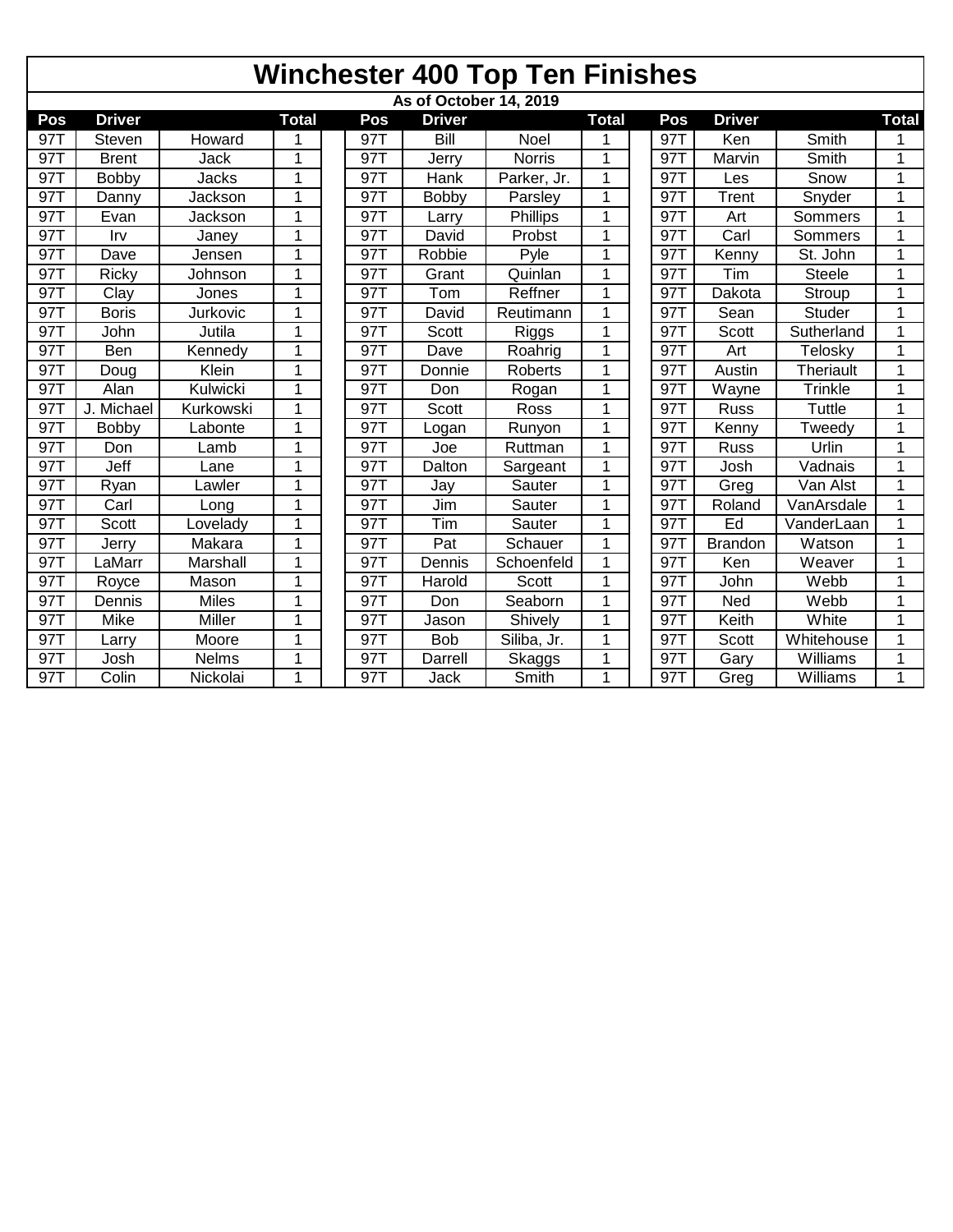|     | <b>Winchester 400 Top Ten Finishes</b> |               |              |     |               |               |              |  |     |                |                  |              |  |
|-----|----------------------------------------|---------------|--------------|-----|---------------|---------------|--------------|--|-----|----------------|------------------|--------------|--|
|     | As of October 14, 2019                 |               |              |     |               |               |              |  |     |                |                  |              |  |
| Pos | <b>Driver</b>                          |               | <b>Total</b> | Pos | <b>Driver</b> |               | <b>Total</b> |  | Pos | <b>Driver</b>  |                  | <b>Total</b> |  |
| 97T | Steven                                 | Howard        |              | 97T | Bill          | <b>Noel</b>   |              |  | 97T | Ken            | Smith            |              |  |
| 97T | <b>Brent</b>                           | Jack          | 1            | 97T | Jerry         | <b>Norris</b> | 1            |  | 97T | Marvin         | Smith            |              |  |
| 97T | <b>Bobby</b>                           | Jacks         | 1            | 97T | Hank          | Parker, Jr.   | $\mathbf 1$  |  | 97T | Les            | Snow             | 1            |  |
| 97T | Danny                                  | Jackson       | 1            | 97T | Bobby         | Parsley       | 1            |  | 97T | Trent          | Snyder           | 1            |  |
| 97T | Evan                                   | Jackson       | 1            | 97T | Larry         | Phillips      | 1            |  | 97T | Art            | Sommers          | 1            |  |
| 97T | Irv                                    | Janey         | 1            | 97T | David         | Probst        | 1            |  | 97T | Carl           | Sommers          |              |  |
| 97T | Dave                                   | Jensen        | 1            | 97T | Robbie        | Pyle          | 1            |  | 97T | Kenny          | St. John         | 1            |  |
| 97T | Ricky                                  | Johnson       | 1            | 97T | Grant         | Quinlan       | 1            |  | 97T | Tim            | <b>Steele</b>    |              |  |
| 97T | Clay                                   | Jones         | 1            | 97T | Tom           | Reffner       | 1            |  | 97T | Dakota         | Stroup           | 1            |  |
| 97T | <b>Boris</b>                           | Jurkovic      | 1            | 97T | David         | Reutimann     | 1            |  | 97T | Sean           | <b>Studer</b>    |              |  |
| 97T | John                                   | Jutila        | 1            | 97T | Scott         | Riggs         | 1            |  | 971 | Scott          | Sutherland       | 1            |  |
| 97T | Ben                                    | Kennedy       | 1            | 97T | Dave          | Roahrig       | 1            |  | 97T | Art            | Telosky          |              |  |
| 97T | Doug                                   | Klein         | 1            | 97T | Donnie        | Roberts       | 1            |  | 971 | Austin         | <b>Theriault</b> |              |  |
| 97T | Alan                                   | Kulwicki      | 1            | 97T | Don           | Rogan         | 1            |  | 97T | Wayne          | Trinkle          | 1            |  |
| 971 | J. Michael                             | Kurkowski     | 1            | 97T | Scott         | Ross          | 1            |  | 97T | Russ           | Tuttle           | 1            |  |
| 97T | <b>Bobby</b>                           | Labonte       | 1            | 97T | Logan         | Runyon        | 1            |  | 97T | Kenny          | Tweedv           | 1            |  |
| 97T | Don                                    | Lamb          | 1            | 97T | Joe           | Ruttman       | 1            |  | 97T | Russ           | Urlin            | 1            |  |
| 97T | Jeff                                   | Lane          | 1            | 97T | Dalton        | Sargeant      | 1            |  | 97T | Josh           | Vadnais          | 1            |  |
| 97T | Ryan                                   | Lawler        | 1            | 97T | Jay           | Sauter        | 1            |  | 97T | Greg           | Van Alst         |              |  |
| 97T | Carl                                   | Long          | 1            | 97T | Jim           | Sauter        | 1            |  | 97T | Roland         | VanArsdale       | 1            |  |
| 97T | <b>Scott</b>                           | Lovelady      | 1            | 97T | Tim           | Sauter        | 1            |  | 97T | Ed             | VanderLaan       |              |  |
| 97T | Jerry                                  | Makara        | 1            | 97T | Pat           | Schauer       | 1            |  | 97T | <b>Brandon</b> | Watson           |              |  |
| 97T | LaMarr                                 | Marshall      | 1            | 97T | Dennis        | Schoenfeld    | 1            |  | 97T | Ken            | Weaver           |              |  |
| 97T | Royce                                  | Mason         | 1            | 97T | Harold        | Scott         | 1            |  | 97T | John           | Webb             |              |  |
| 97T | Dennis                                 | <b>Miles</b>  | 1            | 97T | Don           | Seaborn       | 1            |  | 971 | Ned            | Webb             | 1            |  |
| 97T | <b>Mike</b>                            | <b>Miller</b> | 1            | 97T | Jason         | Shively       | 1            |  | 97T | Keith          | White            | 1            |  |
| 97T | Larry                                  | Moore         | 1            | 97  | <b>Bob</b>    | Siliba, Jr.   | $\mathbf 1$  |  | 97T | Scott          | Whitehouse       | 1            |  |
| 97  | Josh                                   | Nelms         | 1            | 97  | Darrell       | <b>Skaggs</b> | 1            |  | 971 | Gary           | <b>Williams</b>  | 1            |  |
| 97T | Colin                                  | Nickolai      | 1            | 97T | Jack          | Smith         | 1            |  | 97T | Greg           | Williams         | 1            |  |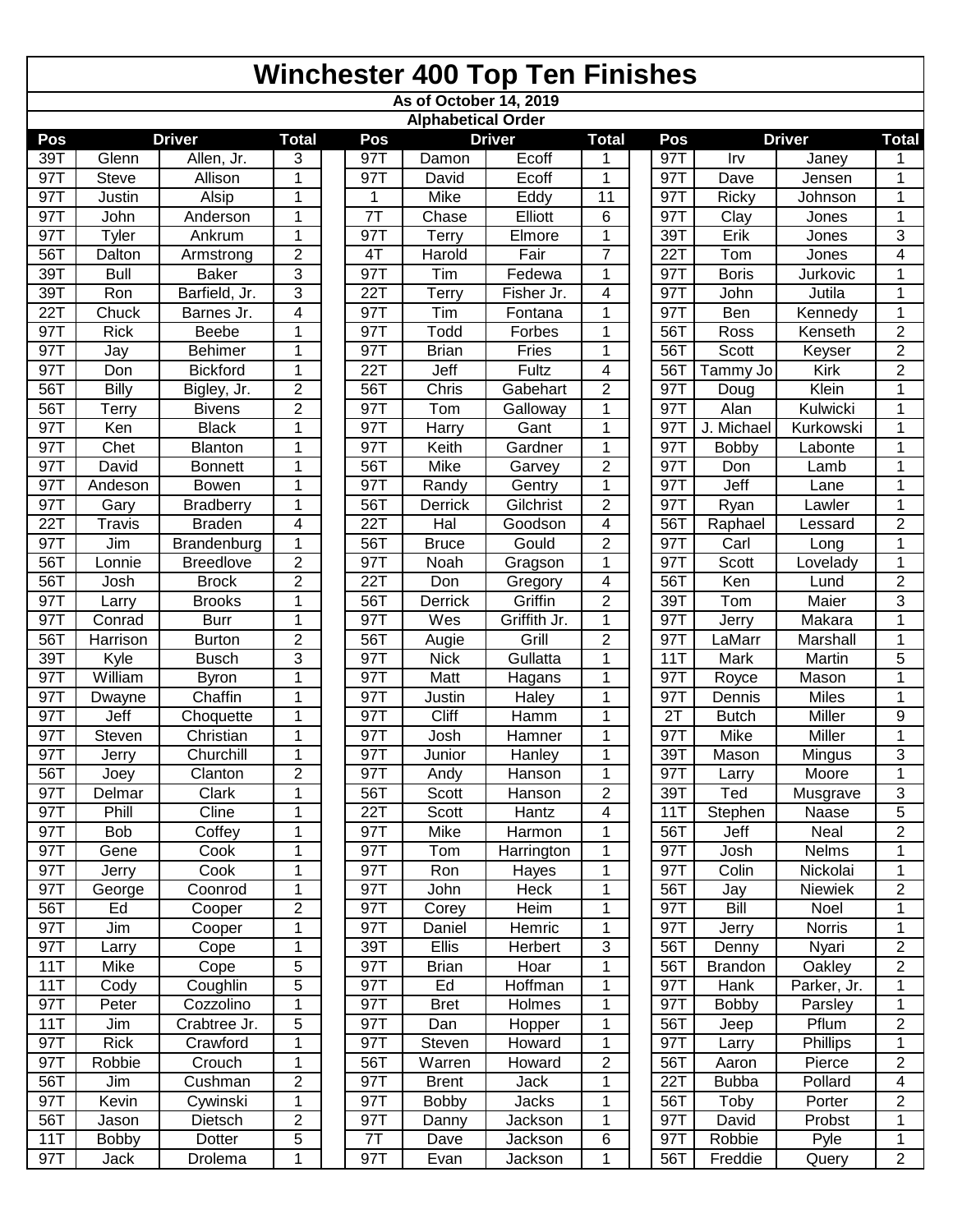|      |                        |                  |                |  |            |                           | <b>Winchester 400 Top Ten Finishes</b> |                         |  |     |                |               |                |
|------|------------------------|------------------|----------------|--|------------|---------------------------|----------------------------------------|-------------------------|--|-----|----------------|---------------|----------------|
|      | As of October 14, 2019 |                  |                |  |            |                           |                                        |                         |  |     |                |               |                |
|      |                        |                  |                |  |            | <b>Alphabetical Order</b> |                                        |                         |  |     |                |               |                |
| Pos  |                        | <b>Driver</b>    | <b>Total</b>   |  | Pos        |                           | <b>Driver</b>                          | <b>Total</b>            |  | Pos | <b>Driver</b>  | <b>Total</b>  |                |
| 39T  | Glenn                  | Allen, Jr.       | 3              |  | 97T        | Damon                     | Ecoff                                  | 1                       |  | 97T | Irv            | Janey         | 1              |
| 97T  | <b>Steve</b>           | Allison          | 1              |  | 97T        | David                     | Ecoff                                  | 1                       |  | 97T | Dave           | Jensen        | 1              |
| 97T  | Justin                 | Alsip            | 1              |  | 1          | Mike                      | Eddy                                   | 11                      |  | 97T | Ricky          | Johnson       | 1              |
| 97T  | John                   | Anderson         | 1              |  | 7T         | Chase                     | Elliott                                | 6                       |  | 97T | Clay           | Jones         | 1              |
| 97T  | Tyler                  | Ankrum           | 1              |  | 97T        | Terry                     | Elmore                                 | 1                       |  | 39T | Erik           | Jones         | 3              |
| 56T  | Dalton                 | Armstrong        | $\overline{2}$ |  | 4T         | Harold                    | Fair                                   | $\overline{7}$          |  | 22T | Tom            | Jones         | 4              |
| 39T  | <b>Bull</b>            | <b>Baker</b>     | 3              |  | 97T        | Tim                       | Fedewa                                 | 1                       |  | 97T | <b>Boris</b>   | Jurkovic      | 1              |
| 39T  | Ron                    | Barfield, Jr.    | 3              |  | <b>22T</b> | Terry                     | Fisher Jr.                             | 4                       |  | 97T | John           | Jutila        | 1              |
| 22T  | Chuck                  | Barnes Jr.       | 4              |  | 97T        | Tim                       | Fontana                                | 1                       |  | 97T | Ben            | Kennedy       | 1              |
| 97T  | <b>Rick</b>            | Beebe            | 1              |  | 97T        | Todd                      | Forbes                                 | 1                       |  | 56T | Ross           | Kenseth       | $\overline{2}$ |
| 97T  | Jay                    | <b>Behimer</b>   | 1              |  | 97T        | <b>Brian</b>              | Fries                                  | $\mathbf{1}$            |  | 56T | Scott          | Keyser        | $\overline{2}$ |
| 97T  | Don                    | <b>Bickford</b>  | 1              |  | <b>22T</b> | Jeff                      | Fultz                                  | 4                       |  | 56T | Tammy Jo       | Kirk          | $\overline{2}$ |
| 56T  | Billy                  | Bigley, Jr.      | $\overline{c}$ |  | 56T        | Chris                     | Gabehart                               | $\overline{2}$          |  | 97T | Doug           | Klein         | 1              |
| 56T  | Terry                  | <b>Bivens</b>    | $\overline{2}$ |  | 97T        | Tom                       | Galloway                               | 1                       |  | 97T | Alan           | Kulwicki      |                |
| 97T  | Ken                    | <b>Black</b>     | 1              |  | 971        | Harry                     | Gant                                   | 1                       |  | 97T | J. Michael     | Kurkowski     | 1              |
| 97T  | Chet                   | Blanton          | 1              |  | 97T        | Keith                     | Gardner                                | 1                       |  | 97T | Bobby          | Labonte       | 1              |
| 97T  | David                  | <b>Bonnett</b>   | 1              |  | 56T        | Mike                      | Garvey                                 | 2                       |  | 97T | Don            | Lamb          | 1              |
| 97T  | Andeson                | <b>Bowen</b>     | 1              |  | 971        | Randy                     | Gentry                                 | 1                       |  | 97T | Jeff           | Lane          | 1              |
| 97T  | Gary                   | <b>Bradberry</b> | 1              |  | 56T        | Derrick                   | Gilchrist                              | $\overline{2}$          |  | 97T | Ryan           | Lawler        | 1              |
| 22T  | Travis                 | <b>Braden</b>    | 4              |  | <b>22T</b> | Hal                       | Goodson                                | 4                       |  | 56T | Raphael        | Lessard       | $\overline{2}$ |
| 97T  | Jim                    | Brandenburg      | 1              |  | 56T        | <b>Bruce</b>              | Gould                                  | 2                       |  | 97T | Carl           | Long          | 1              |
| 56T  | Lonnie                 | <b>Breedlove</b> | $\overline{2}$ |  | 97T        | Noah                      | Gragson                                | 1                       |  | 97T | <b>Scott</b>   | Lovelady      | 1              |
| 56T  | Josh                   | <b>Brock</b>     | $\overline{2}$ |  | <b>22T</b> | Don                       | Gregory                                | 4                       |  | 56T | Ken            | Lund          | $\overline{2}$ |
| 97T  | Larry                  | <b>Brooks</b>    | 1              |  | 56T        | Derrick                   | Griffin                                | $\overline{2}$          |  | 39T | Tom            | Maier         | 3              |
| 97T  | Conrad                 | <b>Burr</b>      | 1              |  | 97T        | Wes                       | Griffith Jr.                           | 1                       |  | 97T | Jerry          | Makara        | 1              |
| 56T  | Harrison               | <b>Burton</b>    | $\overline{2}$ |  | 56T        | Augie                     | Grill                                  | $\overline{2}$          |  | 97T | LaMarr         | Marshall      | 1              |
| 39T  | Kyle                   | <b>Busch</b>     | 3              |  | 97T        | <b>Nick</b>               | Gullatta                               | 1                       |  | 11T | Mark           | Martin        | 5              |
| 97T  | William                | <b>Byron</b>     | 1              |  | 97T        | Matt                      | Hagans                                 | 1                       |  | 97T | Royce          | Mason         | 1              |
| 97T  | Dwayne                 | Chaffin          | 1              |  | 97T        | Justin                    | Haley                                  | 1                       |  | 97T | Dennis         | <b>Miles</b>  | 1              |
| 97T  | Jeff                   | Choquette        | 1              |  | 97T        | Cliff                     | Hamm                                   | 1                       |  | 2T  | <b>Butch</b>   | Miller        | 9              |
| 97T  | Steven                 | Christian        | 1              |  | 97T        | Josh                      | Hamner                                 | 1                       |  | 97T | Mike           | Miller        | 1              |
| 97 T | Jerry                  | Churchill        | 1              |  | 971        | Junior                    | Hanley                                 | 1                       |  | 39T | Mason          | Mingus        | 3              |
| 56T  | Joey                   | Clanton          | $\overline{2}$ |  | 97T        | Andy                      | Hanson                                 | 1                       |  | 97T | Larry          | Moore         | 1              |
| 97T  | Delmar                 | Clark            | 1              |  | 56T        | Scott                     | Hanson                                 | 2                       |  | 39T | Ted            | Musgrave      | 3              |
| 97T  | Phill                  | Cline            | 1              |  | 22T        | Scott                     | Hantz                                  | 4                       |  | 11T | Stephen        | Naase         | 5              |
| 97T  | <b>Bob</b>             | Coffey           | 1              |  | 97T        | Mike                      | Harmon                                 | 1                       |  | 56T | Jeff           | Neal          | $\overline{2}$ |
| 97T  | Gene                   | Cook             | 1              |  | 97T        | Tom                       | Harrington                             | 1                       |  | 97T | Josh           | Nelms         | 1              |
| 97T  | Jerry                  | Cook             | 1              |  | 97T        | Ron                       | Hayes                                  | 1                       |  | 97T | Colin          | Nickolai      | 1              |
| 97T  | George                 | Coonrod          | 1              |  | 97T        | John                      | Heck                                   | 1                       |  | 56T | Jay            | Niewiek       | $\overline{2}$ |
| 56T  | Ed                     | Cooper           | $\overline{2}$ |  | 97T        | Corey                     | Heim                                   | 1                       |  | 97T | <b>Bill</b>    | Noel          | 1              |
| 97T  | Jim                    | Cooper           | 1              |  | 97T        | Daniel                    | Hemric                                 | 1                       |  | 97T | Jerry          | <b>Norris</b> | 1              |
| 97T  | Larry                  | Cope             | 1              |  | 39T        | <b>Ellis</b>              | Herbert                                | 3                       |  | 56T | Denny          | Nyari         | $\overline{2}$ |
| 11T  | Mike                   | Cope             | 5              |  | 97T        | <b>Brian</b>              | Hoar                                   | 1                       |  | 56T | <b>Brandon</b> | Oakley        | $\overline{2}$ |
| 11T  | Cody                   | Coughlin         | 5              |  | 97T        | Ed                        | Hoffman                                | $\mathbf{1}$            |  | 97T | Hank           | Parker, Jr.   | 1              |
| 97T  | Peter                  | Cozzolino        | 1              |  | 97T        | <b>Bret</b>               | Holmes                                 | 1                       |  | 97T | Bobby          | Parsley       | 1              |
| 11T  | Jim                    | Crabtree Jr.     | 5              |  | 97T        | Dan                       | Hopper                                 | 1                       |  | 56T | Jeep           | Pflum         | 2              |
| 97T  | <b>Rick</b>            | Crawford         | 1              |  | 97T        | Steven                    | Howard                                 | 1                       |  | 97T | Larry          | Phillips      | 1              |
| 97T  | Robbie                 | Crouch           | 1              |  | 56T        | Warren                    | Howard                                 | $\overline{\mathbf{c}}$ |  | 56T | Aaron          | Pierce        | 2              |
| 56T  | Jim                    | Cushman          | $\overline{2}$ |  | 97T        | <b>Brent</b>              | Jack                                   | 1                       |  | 22T | <b>Bubba</b>   | Pollard       | $\overline{4}$ |
| 97T  | Kevin                  | Cywinski         | 1              |  | 97T        | <b>Bobby</b>              | Jacks                                  | 1                       |  | 56T | Toby           | Porter        | 2              |
| 56T  | Jason                  | Dietsch          | 2              |  | 97T        | Danny                     | Jackson                                | $\mathbf{1}$            |  | 97T | David          | Probst        | 1              |
| 11T  | Bobby                  | Dotter           | 5              |  | 7T         | Dave                      | Jackson                                | 6                       |  | 97T | Robbie         | Pyle          | 1              |
| 97T  | Jack                   | Drolema          | 1              |  | 97T        | Evan                      | Jackson                                | 1                       |  | 56T | Freddie        | Query         | $\overline{2}$ |